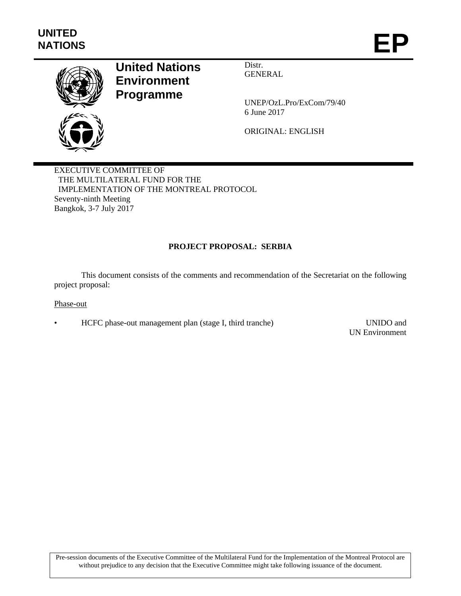

# **United Nations Environment Programme**

Distr. GENERAL

UNEP/OzL.Pro/ExCom/79/40 6 June 2017

ORIGINAL: ENGLISH

EXECUTIVE COMMITTEE OF THE MULTILATERAL FUND FOR THE IMPLEMENTATION OF THE MONTREAL PROTOCOL Seventy-ninth Meeting Bangkok, 3-7 July 2017

# **PROJECT PROPOSAL: SERBIA**

This document consists of the comments and recommendation of the Secretariat on the following project proposal:

Phase-out

• HCFC phase-out management plan (stage I, third tranche) UNIDO and

UN Environment

Pre-session documents of the Executive Committee of the Multilateral Fund for the Implementation of the Montreal Protocol are without prejudice to any decision that the Executive Committee might take following issuance of the document.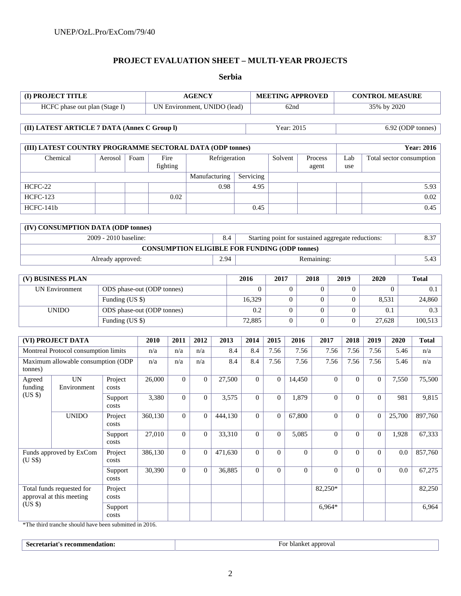## **PROJECT EVALUATION SHEET – MULTI-YEAR PROJECTS**

**Serbia** 

| (I) PROJECT TITLE                                                          |                                                                          |                                    |                            |                                        | <b>AGENCY</b>  | <b>MEETING APPROVED</b> |                                                            |                              |                  |                | <b>CONTROL MEASURE</b> |                  |                   |                          |              |                     |
|----------------------------------------------------------------------------|--------------------------------------------------------------------------|------------------------------------|----------------------------|----------------------------------------|----------------|-------------------------|------------------------------------------------------------|------------------------------|------------------|----------------|------------------------|------------------|-------------------|--------------------------|--------------|---------------------|
| HCFC phase out plan (Stage I)                                              |                                                                          |                                    |                            | UN Environment, UNIDO (lead)           |                |                         |                                                            | 62nd                         |                  |                |                        | 35% by 2020      |                   |                          |              |                     |
| (II) LATEST ARTICLE 7 DATA (Annex C Group I)                               |                                                                          |                                    |                            |                                        |                |                         |                                                            | Year: 2015                   |                  |                |                        |                  | 6.92 (ODP tonnes) |                          |              |                     |
|                                                                            |                                                                          |                                    |                            |                                        |                |                         |                                                            |                              |                  |                |                        |                  |                   |                          |              |                     |
| (III) LATEST COUNTRY PROGRAMME SECTORAL DATA (ODP tonnes)                  |                                                                          |                                    |                            |                                        |                |                         |                                                            |                              |                  |                |                        |                  |                   |                          |              | <b>Year: 2016</b>   |
| Chemical<br>Aerosol                                                        |                                                                          | Foam                               | Fire<br>fighting           |                                        |                | Refrigeration           |                                                            | Solvent                      | Process<br>agent |                |                        | Lab<br>use       |                   | Total sector consumption |              |                     |
|                                                                            |                                                                          |                                    |                            |                                        | Manufacturing  |                         | Servicing                                                  |                              |                  |                |                        |                  |                   |                          |              |                     |
| HCFC-22                                                                    |                                                                          |                                    |                            |                                        |                | 0.98                    |                                                            | 4.95                         |                  |                |                        |                  |                   |                          |              | 5.93                |
| <b>HCFC-123</b>                                                            |                                                                          |                                    | 0.02                       |                                        |                |                         |                                                            |                              |                  |                |                        |                  |                   |                          | 0.02         |                     |
| HCFC-141b                                                                  |                                                                          |                                    |                            |                                        |                |                         | 0.45                                                       |                              |                  |                |                        |                  |                   |                          | 0.45         |                     |
|                                                                            | (IV) CONSUMPTION DATA (ODP tonnes)                                       |                                    |                            |                                        |                |                         |                                                            |                              |                  |                |                        |                  |                   |                          |              |                     |
|                                                                            |                                                                          | 2009 - 2010 baseline:              |                            |                                        |                | 8.4                     | 8.37<br>Starting point for sustained aggregate reductions: |                              |                  |                |                        |                  |                   |                          |              |                     |
|                                                                            |                                                                          |                                    |                            |                                        |                |                         | <b>CONSUMPTION ELIGIBLE FOR FUNDING (ODP tonnes)</b>       |                              |                  |                |                        |                  |                   |                          |              |                     |
| Already approved:                                                          |                                                                          |                                    |                            |                                        |                | 2.94                    |                                                            | Remaining:                   |                  |                |                        |                  |                   | $\overline{5.43}$        |              |                     |
|                                                                            |                                                                          |                                    |                            |                                        |                |                         | 2016                                                       | 2017<br>2018<br>2019<br>2020 |                  |                |                        |                  | <b>Total</b>      |                          |              |                     |
|                                                                            | (V) BUSINESS PLAN<br><b>UN Environment</b><br>ODS phase-out (ODP tonnes) |                                    |                            |                                        |                |                         |                                                            | $\Omega$                     |                  | $\overline{0}$ | $\Omega$               |                  | $\overline{0}$    |                          | $\Omega$     | 0.1                 |
| Funding (US \$)                                                            |                                                                          |                                    |                            |                                        |                | 16,329                  |                                                            |                              | $\overline{0}$   | $\Omega$       |                        | $\mathbf{0}$     |                   | 8,531                    | 24,860       |                     |
| <b>UNIDO</b>                                                               |                                                                          |                                    | ODS phase-out (ODP tonnes) |                                        |                |                         | 0.2                                                        |                              | $\boldsymbol{0}$ | $\theta$       |                        | $\mathbf{0}$     |                   | 0.1                      | 0.3          |                     |
| Funding (US \$)                                                            |                                                                          |                                    |                            | 72,885<br>$\mathbf{0}$<br>$\mathbf{0}$ |                |                         |                                                            |                              | $\Omega$         |                | 27,628                 | 100,513          |                   |                          |              |                     |
|                                                                            |                                                                          |                                    |                            |                                        |                |                         |                                                            |                              |                  |                |                        |                  |                   |                          |              |                     |
|                                                                            | (VI) PROJECT DATA                                                        |                                    | 2010<br>n/a                | 2011<br>n/a                            | 2012<br>n/a    | 2013<br>8.4             | 2014                                                       | 8.4                          | 2015<br>7.56     | 2016<br>7.56   | 2017                   | 7.56             | 2018<br>7.56      | 2019<br>7.56             | 2020<br>5.46 | <b>Total</b><br>n/a |
| Montreal Protocol consumption limits<br>Maximum allowable consumption (ODP |                                                                          |                                    | n/a                        | n/a                                    | n/a            | 8.4                     |                                                            | 8.4                          | 7.56             | 7.56           |                        | 7.56             | 7.56              | 7.56                     | 5.46         | n/a                 |
| tonnes)                                                                    |                                                                          |                                    |                            |                                        |                |                         |                                                            |                              |                  |                |                        |                  |                   |                          |              |                     |
| Agreed<br>funding                                                          | <b>UN</b><br>Environment                                                 | Project<br>costs                   | 26,000                     | $\Omega$                               | $\theta$       | 27,500                  |                                                            | $\overline{0}$               | $\overline{0}$   | 14,450         |                        | $\overline{0}$   | $\Omega$          | $\Omega$                 | 7,550        | 75,500              |
| (US \$)                                                                    |                                                                          | Support<br>costs                   | 3,380                      | $\Omega$                               | $\overline{0}$ | 3,575                   |                                                            | $\overline{0}$               | $\overline{0}$   | 1,879          |                        | $\overline{0}$   | $\theta$          | $\Omega$                 | 981          | 9,815               |
|                                                                            | <b>UNIDO</b>                                                             | Project<br>costs                   | 360,130                    | $\theta$                               | $\overline{0}$ | 444,130                 |                                                            | $\mathbf{0}$                 | $\overline{0}$   | 67,800         |                        | $\boldsymbol{0}$ | $\overline{0}$    | $\overline{0}$           | 25,700       | 897,760             |
|                                                                            |                                                                          | Support<br>$\mathop{\text{costs}}$ | 27,010                     | $\overline{0}$                         | $\overline{0}$ | 33,310                  |                                                            | $\mathbf{0}$                 | $\overline{0}$   | 5,085          |                        | $\boldsymbol{0}$ | $\overline{0}$    | $\overline{0}$           | 1,928        | 67,333              |
| Funds approved by ExCom<br>(U S\$)                                         |                                                                          | Project<br>$\cos\!t\!s$            | 386,130                    | $\overline{0}$                         | $\overline{0}$ | 471,630                 |                                                            | $\boldsymbol{0}$             | $\overline{0}$   | $\mathbf{0}$   |                        | $\boldsymbol{0}$ | $\overline{0}$    | $\overline{0}$           | 0.0          | 857,760             |
|                                                                            |                                                                          | Support<br>$\mathop{\text{costs}}$ | 30,390                     | $\overline{0}$                         | $\overline{0}$ | 36,885                  |                                                            | $\mathbf{0}$                 | $\boldsymbol{0}$ | $\mathbf{0}$   |                        | $\boldsymbol{0}$ | $\overline{0}$    | $\overline{0}$           | 0.0          | 67,275              |
| Total funds requested for<br>approval at this meeting                      |                                                                          | Project<br>$\mathop{\text{costs}}$ |                            |                                        |                |                         |                                                            |                              |                  |                | $82,250*$              |                  |                   |                          |              | 82,250              |
| (US \$)                                                                    |                                                                          | Support<br>costs                   |                            |                                        |                |                         |                                                            |                              |                  |                | $6,964*$               |                  |                   |                          |              | 6,964               |

\*The third tranche should have been submitted in 2016.

| ла<br>approval<br>юш<br>LIIKC<br>77 J<br>. |
|--------------------------------------------|
|--------------------------------------------|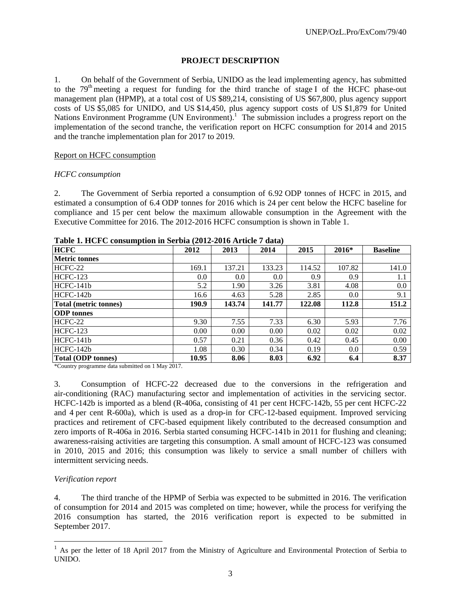## **PROJECT DESCRIPTION**

1. On behalf of the Government of Serbia, UNIDO as the lead implementing agency, has submitted to the  $79<sup>th</sup>$  meeting a request for funding for the third tranche of stage I of the HCFC phase-out management plan (HPMP), at a total cost of US \$89,214, consisting of US \$67,800, plus agency support costs of US \$5,085 for UNIDO, and US \$14,450, plus agency support costs of US \$1,879 for United Nations Environment Programme (UN Environment).<sup>1</sup> The submission includes a progress report on the implementation of the second tranche, the verification report on HCFC consumption for 2014 and 2015 and the tranche implementation plan for 2017 to 2019.

#### Report on HCFC consumption

#### *HCFC consumption*

2. The Government of Serbia reported a consumption of 6.92 ODP tonnes of HCFC in 2015, and estimated a consumption of 6.4 ODP tonnes for 2016 which is 24 per cent below the HCFC baseline for compliance and 15 per cent below the maximum allowable consumption in the Agreement with the Executive Committee for 2016. The 2012-2016 HCFC consumption is shown in Table 1.

| <b>HCFC</b>                  | 2012  | 2013   | 2014   | 2015   | $2016*$ | <b>Baseline</b> |
|------------------------------|-------|--------|--------|--------|---------|-----------------|
| <b>Metric tonnes</b>         |       |        |        |        |         |                 |
| HCFC-22                      | 169.1 | 137.21 | 133.23 | 114.52 | 107.82  | 141.0           |
| <b>HCFC-123</b>              | 0.0   | 0.0    | 0.0    | 0.9    | 0.9     | 1.1             |
| HCFC-141b                    | 5.2   | 1.90   | 3.26   | 3.81   | 4.08    | 0.0             |
| $HCFC-142h$                  | 16.6  | 4.63   | 5.28   | 2.85   | 0.0     | 9.1             |
| <b>Total (metric tonnes)</b> | 190.9 | 143.74 | 141.77 | 122.08 | 112.8   | 151.2           |
| <b>ODP</b> tonnes            |       |        |        |        |         |                 |
| HCFC-22                      | 9.30  | 7.55   | 7.33   | 6.30   | 5.93    | 7.76            |
| <b>HCFC-123</b>              | 0.00  | 0.00   | 0.00   | 0.02   | 0.02    | 0.02            |
| $HCFC-141b$                  | 0.57  | 0.21   | 0.36   | 0.42   | 0.45    | 0.00            |
| HCFC-142b                    | 1.08  | 0.30   | 0.34   | 0.19   | 0.0     | 0.59            |
| <b>Total (ODP tonnes)</b>    | 10.95 | 8.06   | 8.03   | 6.92   | 6.4     | 8.37            |

**Table 1. HCFC consumption in Serbia (2012-2016 Article 7 data)** 

\*Country programme data submitted on 1 May 2017.

3. Consumption of HCFC-22 decreased due to the conversions in the refrigeration and air-conditioning (RAC) manufacturing sector and implementation of activities in the servicing sector. HCFC-142b is imported as a blend (R-406a, consisting of 41 per cent HCFC-142b, 55 per cent HCFC-22 and 4 per cent R-600a), which is used as a drop-in for CFC-12-based equipment. Improved servicing practices and retirement of CFC-based equipment likely contributed to the decreased consumption and zero imports of R-406a in 2016. Serbia started consuming HCFC-141b in 2011 for flushing and cleaning; awareness-raising activities are targeting this consumption. A small amount of HCFC-123 was consumed in 2010, 2015 and 2016; this consumption was likely to service a small number of chillers with intermittent servicing needs.

#### *Verification report*

1

4. The third tranche of the HPMP of Serbia was expected to be submitted in 2016. The verification of consumption for 2014 and 2015 was completed on time; however, while the process for verifying the 2016 consumption has started, the 2016 verification report is expected to be submitted in September 2017.

 $1$  As per the letter of 18 April 2017 from the Ministry of Agriculture and Environmental Protection of Serbia to UNIDO.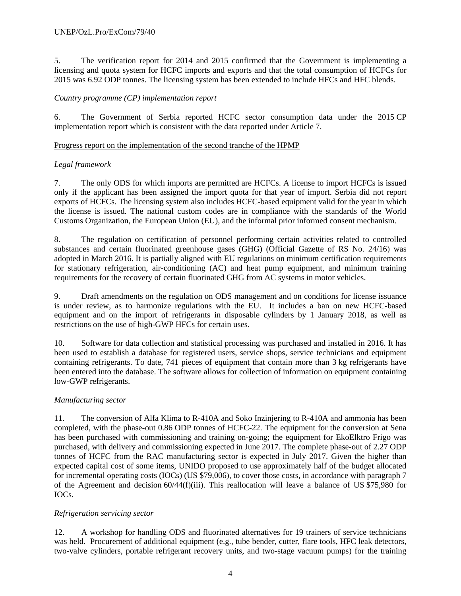5. The verification report for 2014 and 2015 confirmed that the Government is implementing a licensing and quota system for HCFC imports and exports and that the total consumption of HCFCs for 2015 was 6.92 ODP tonnes. The licensing system has been extended to include HFCs and HFC blends.

## *Country programme (CP) implementation report*

6. The Government of Serbia reported HCFC sector consumption data under the 2015 CP implementation report which is consistent with the data reported under Article 7.

## Progress report on the implementation of the second tranche of the HPMP

## *Legal framework*

7. The only ODS for which imports are permitted are HCFCs. A license to import HCFCs is issued only if the applicant has been assigned the import quota for that year of import. Serbia did not report exports of HCFCs. The licensing system also includes HCFC-based equipment valid for the year in which the license is issued. The national custom codes are in compliance with the standards of the World Customs Organization, the European Union (EU), and the informal prior informed consent mechanism.

8. The regulation on certification of personnel performing certain activities related to controlled substances and certain fluorinated greenhouse gases (GHG) (Official Gazette of RS No. 24/16) was adopted in March 2016. It is partially aligned with EU regulations on minimum certification requirements for stationary refrigeration, air-conditioning (AC) and heat pump equipment, and minimum training requirements for the recovery of certain fluorinated GHG from AC systems in motor vehicles.

9. Draft amendments on the regulation on ODS management and on conditions for license issuance is under review, as to harmonize regulations with the EU. It includes a ban on new HCFC-based equipment and on the import of refrigerants in disposable cylinders by 1 January 2018, as well as restrictions on the use of high-GWP HFCs for certain uses.

10. Software for data collection and statistical processing was purchased and installed in 2016. It has been used to establish a database for registered users, service shops, service technicians and equipment containing refrigerants. To date, 741 pieces of equipment that contain more than 3 kg refrigerants have been entered into the database. The software allows for collection of information on equipment containing low-GWP refrigerants.

# *Manufacturing sector*

11. The conversion of Alfa Klima to R-410A and Soko Inzinjering to R-410A and ammonia has been completed, with the phase-out 0.86 ODP tonnes of HCFC-22. The equipment for the conversion at Sena has been purchased with commissioning and training on-going; the equipment for EkoElktro Frigo was purchased, with delivery and commissioning expected in June 2017. The complete phase-out of 2.27 ODP tonnes of HCFC from the RAC manufacturing sector is expected in July 2017. Given the higher than expected capital cost of some items, UNIDO proposed to use approximately half of the budget allocated for incremental operating costs (IOCs) (US \$79,006), to cover those costs, in accordance with paragraph 7 of the Agreement and decision 60/44(f)(iii). This reallocation will leave a balance of US \$75,980 for IOCs.

#### *Refrigeration servicing sector*

12. A workshop for handling ODS and fluorinated alternatives for 19 trainers of service technicians was held. Procurement of additional equipment (e.g., tube bender, cutter, flare tools, HFC leak detectors, two-valve cylinders, portable refrigerant recovery units, and two-stage vacuum pumps) for the training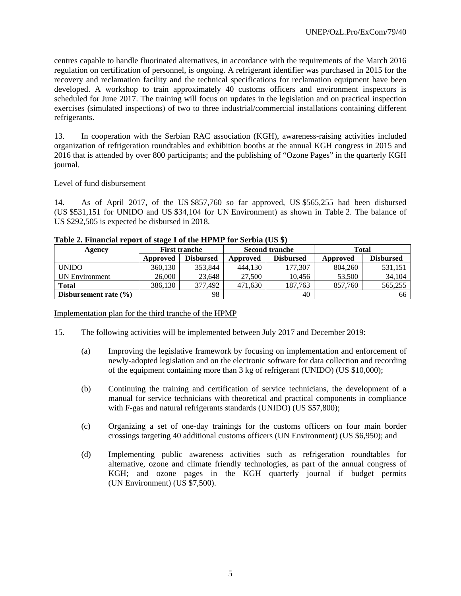centres capable to handle fluorinated alternatives, in accordance with the requirements of the March 2016 regulation on certification of personnel, is ongoing. A refrigerant identifier was purchased in 2015 for the recovery and reclamation facility and the technical specifications for reclamation equipment have been developed. A workshop to train approximately 40 customs officers and environment inspectors is scheduled for June 2017. The training will focus on updates in the legislation and on practical inspection exercises (simulated inspections) of two to three industrial/commercial installations containing different refrigerants.

13. In cooperation with the Serbian RAC association (KGH), awareness-raising activities included organization of refrigeration roundtables and exhibition booths at the annual KGH congress in 2015 and 2016 that is attended by over 800 participants; and the publishing of "Ozone Pages" in the quarterly KGH journal.

#### Level of fund disbursement

14. As of April 2017, of the US \$857,760 so far approved, US \$565,255 had been disbursed (US \$531,151 for UNIDO and US \$34,104 for UN Environment) as shown in Table 2. The balance of US \$292,505 is expected be disbursed in 2018.

| Agency                    |          | <b>First tranche</b> |          | <b>Second tranche</b> | <b>Total</b> |                  |  |
|---------------------------|----------|----------------------|----------|-----------------------|--------------|------------------|--|
|                           | Approved | <b>Disbursed</b>     | Approved | <b>Disbursed</b>      | Approved     | <b>Disbursed</b> |  |
| <b>UNIDO</b>              | 360.130  | 353,844              | 444,130  | 177.307               | 804.260      | 531,151          |  |
| <b>UN Environment</b>     | 26,000   | 23,648               | 27,500   | 10.456                | 53,500       | 34,104           |  |
| <b>Total</b>              | 386,130  | 377,492              | 471,630  | 187.763               | 857,760      | 565,255          |  |
| Disbursement rate $(\% )$ |          | 98                   |          | 40                    |              | 66               |  |

**Table 2. Financial report of stage I of the HPMP for Serbia (US \$)** 

#### Implementation plan for the third tranche of the HPMP

- 15. The following activities will be implemented between July 2017 and December 2019:
	- (a) Improving the legislative framework by focusing on implementation and enforcement of newly-adopted legislation and on the electronic software for data collection and recording of the equipment containing more than 3 kg of refrigerant (UNIDO) (US \$10,000);
	- (b) Continuing the training and certification of service technicians, the development of a manual for service technicians with theoretical and practical components in compliance with F-gas and natural refrigerants standards (UNIDO) (US \$57,800);
	- (c) Organizing a set of one-day trainings for the customs officers on four main border crossings targeting 40 additional customs officers (UN Environment) (US \$6,950); and
	- (d) Implementing public awareness activities such as refrigeration roundtables for alternative, ozone and climate friendly technologies, as part of the annual congress of KGH; and ozone pages in the KGH quarterly journal if budget permits (UN Environment) (US \$7,500).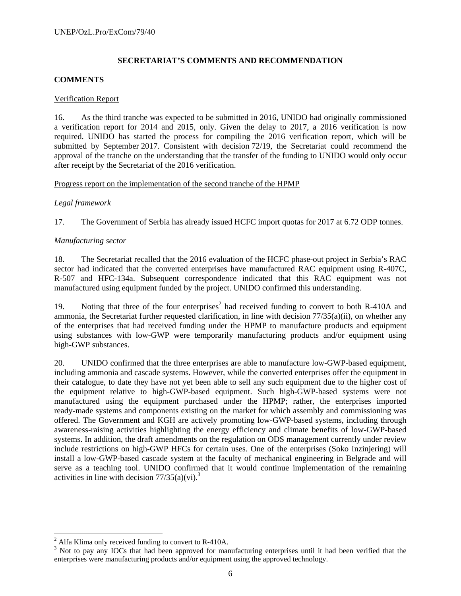# **SECRETARIAT'S COMMENTS AND RECOMMENDATION**

## **COMMENTS**

#### Verification Report

16. As the third tranche was expected to be submitted in 2016, UNIDO had originally commissioned a verification report for 2014 and 2015, only. Given the delay to 2017, a 2016 verification is now required. UNIDO has started the process for compiling the 2016 verification report, which will be submitted by September 2017. Consistent with decision 72/19, the Secretariat could recommend the approval of the tranche on the understanding that the transfer of the funding to UNIDO would only occur after receipt by the Secretariat of the 2016 verification.

#### Progress report on the implementation of the second tranche of the HPMP

## *Legal framework*

17. The Government of Serbia has already issued HCFC import quotas for 2017 at 6.72 ODP tonnes.

#### *Manufacturing sector*

18. The Secretariat recalled that the 2016 evaluation of the HCFC phase-out project in Serbia's RAC sector had indicated that the converted enterprises have manufactured RAC equipment using R-407C, R-507 and HFC-134a. Subsequent correspondence indicated that this RAC equipment was not manufactured using equipment funded by the project. UNIDO confirmed this understanding.

19. Noting that three of the four enterprises<sup>2</sup> had received funding to convert to both R-410A and ammonia, the Secretariat further requested clarification, in line with decision  $77/35(a)(ii)$ , on whether any of the enterprises that had received funding under the HPMP to manufacture products and equipment using substances with low-GWP were temporarily manufacturing products and/or equipment using high-GWP substances.

20. UNIDO confirmed that the three enterprises are able to manufacture low-GWP-based equipment, including ammonia and cascade systems. However, while the converted enterprises offer the equipment in their catalogue, to date they have not yet been able to sell any such equipment due to the higher cost of the equipment relative to high-GWP-based equipment. Such high-GWP-based systems were not manufactured using the equipment purchased under the HPMP; rather, the enterprises imported ready-made systems and components existing on the market for which assembly and commissioning was offered. The Government and KGH are actively promoting low-GWP-based systems, including through awareness-raising activities highlighting the energy efficiency and climate benefits of low-GWP-based systems. In addition, the draft amendments on the regulation on ODS management currently under review include restrictions on high-GWP HFCs for certain uses. One of the enterprises (Soko Inzinjering) will install a low-GWP-based cascade system at the faculty of mechanical engineering in Belgrade and will serve as a teaching tool. UNIDO confirmed that it would continue implementation of the remaining activities in line with decision  $77/35(a)(vi)^3$ .

1

<sup>&</sup>lt;sup>2</sup> Alfa Klima only received funding to convert to R-410A.<br><sup>3</sup> Not to now any IOCs that had been approved for man

<sup>&</sup>lt;sup>3</sup> Not to pay any IOCs that had been approved for manufacturing enterprises until it had been verified that the enterprises were manufacturing products and/or equipment using the approved technology.